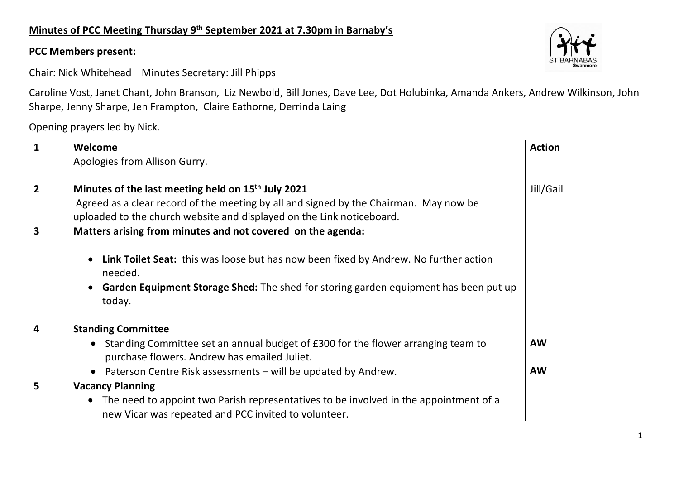## **Minutes of PCC Meeting Thursday 9th September 2021 at 7.30pm in Barnaby's**

## **PCC Members present:**

Chair: Nick Whitehead Minutes Secretary: Jill Phipps

Caroline Vost, Janet Chant, John Branson, Liz Newbold, Bill Jones, Dave Lee, Dot Holubinka, Amanda Ankers, Andrew Wilkinson, John Sharpe, Jenny Sharpe, Jen Frampton, Claire Eathorne, Derrinda Laing

Opening prayers led by Nick.

| $\mathbf{1}$            | Welcome                                                                                                                                                                                                | <b>Action</b> |
|-------------------------|--------------------------------------------------------------------------------------------------------------------------------------------------------------------------------------------------------|---------------|
|                         | Apologies from Allison Gurry.                                                                                                                                                                          |               |
| $\overline{2}$          | Minutes of the last meeting held on 15 <sup>th</sup> July 2021                                                                                                                                         | Jill/Gail     |
|                         | Agreed as a clear record of the meeting by all and signed by the Chairman. May now be                                                                                                                  |               |
|                         | uploaded to the church website and displayed on the Link noticeboard.                                                                                                                                  |               |
| $\overline{\mathbf{3}}$ | Matters arising from minutes and not covered on the agenda:                                                                                                                                            |               |
|                         | Link Toilet Seat: this was loose but has now been fixed by Andrew. No further action<br>$\bullet$<br>needed.<br>• Garden Equipment Storage Shed: The shed for storing garden equipment has been put up |               |
|                         | today.                                                                                                                                                                                                 |               |
| $\overline{\mathbf{4}}$ | <b>Standing Committee</b>                                                                                                                                                                              |               |
|                         | • Standing Committee set an annual budget of £300 for the flower arranging team to<br>purchase flowers. Andrew has emailed Juliet.                                                                     | <b>AW</b>     |
|                         | Paterson Centre Risk assessments - will be updated by Andrew.<br>$\bullet$                                                                                                                             | <b>AW</b>     |
| 5                       | <b>Vacancy Planning</b>                                                                                                                                                                                |               |
|                         | • The need to appoint two Parish representatives to be involved in the appointment of a                                                                                                                |               |
|                         | new Vicar was repeated and PCC invited to volunteer.                                                                                                                                                   |               |

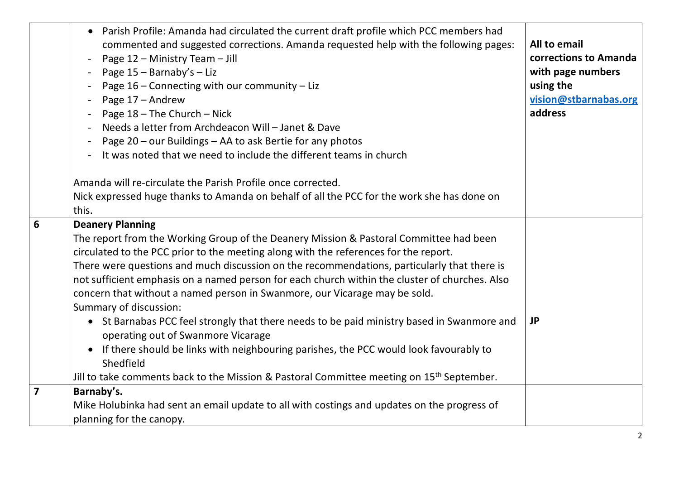| • Parish Profile: Amanda had circulated the current draft profile which PCC members had<br>All to email<br>commented and suggested corrections. Amanda requested help with the following pages:<br>corrections to Amanda<br>Page 12 - Ministry Team - Jill<br>with page numbers<br>Page $15 -$ Barnaby's - Liz<br>using the<br>Page $16$ – Connecting with our community – Liz<br>vision@stbarnabas.org<br>Page 17 - Andrew<br>address<br>Page $18$ – The Church – Nick<br>Needs a letter from Archdeacon Will - Janet & Dave<br>Page 20 - our Buildings - AA to ask Bertie for any photos<br>It was noted that we need to include the different teams in church<br>Amanda will re-circulate the Parish Profile once corrected.<br>Nick expressed huge thanks to Amanda on behalf of all the PCC for the work she has done on<br>this.<br>$6\phantom{1}$<br><b>Deanery Planning</b><br>The report from the Working Group of the Deanery Mission & Pastoral Committee had been<br>circulated to the PCC prior to the meeting along with the references for the report.<br>There were questions and much discussion on the recommendations, particularly that there is<br>not sufficient emphasis on a named person for each church within the cluster of churches. Also<br>concern that without a named person in Swanmore, our Vicarage may be sold.<br>Summary of discussion:<br>• St Barnabas PCC feel strongly that there needs to be paid ministry based in Swanmore and<br><b>JP</b><br>operating out of Swanmore Vicarage<br>• If there should be links with neighbouring parishes, the PCC would look favourably to<br>Shedfield<br>Jill to take comments back to the Mission & Pastoral Committee meeting on 15 <sup>th</sup> September.<br>$\overline{7}$<br>Barnaby's.<br>Mike Holubinka had sent an email update to all with costings and updates on the progress of<br>planning for the canopy. |  |  |
|-------------------------------------------------------------------------------------------------------------------------------------------------------------------------------------------------------------------------------------------------------------------------------------------------------------------------------------------------------------------------------------------------------------------------------------------------------------------------------------------------------------------------------------------------------------------------------------------------------------------------------------------------------------------------------------------------------------------------------------------------------------------------------------------------------------------------------------------------------------------------------------------------------------------------------------------------------------------------------------------------------------------------------------------------------------------------------------------------------------------------------------------------------------------------------------------------------------------------------------------------------------------------------------------------------------------------------------------------------------------------------------------------------------------------------------------------------------------------------------------------------------------------------------------------------------------------------------------------------------------------------------------------------------------------------------------------------------------------------------------------------------------------------------------------------------------------------------------------------------------------------------------------------------|--|--|
|                                                                                                                                                                                                                                                                                                                                                                                                                                                                                                                                                                                                                                                                                                                                                                                                                                                                                                                                                                                                                                                                                                                                                                                                                                                                                                                                                                                                                                                                                                                                                                                                                                                                                                                                                                                                                                                                                                             |  |  |
|                                                                                                                                                                                                                                                                                                                                                                                                                                                                                                                                                                                                                                                                                                                                                                                                                                                                                                                                                                                                                                                                                                                                                                                                                                                                                                                                                                                                                                                                                                                                                                                                                                                                                                                                                                                                                                                                                                             |  |  |
|                                                                                                                                                                                                                                                                                                                                                                                                                                                                                                                                                                                                                                                                                                                                                                                                                                                                                                                                                                                                                                                                                                                                                                                                                                                                                                                                                                                                                                                                                                                                                                                                                                                                                                                                                                                                                                                                                                             |  |  |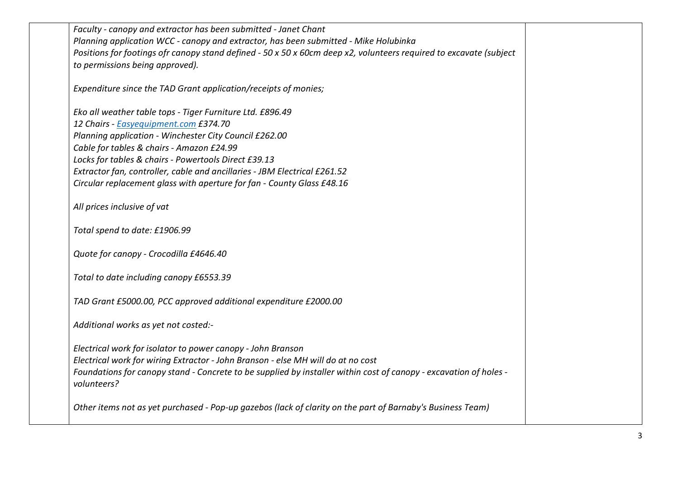| Faculty - canopy and extractor has been submitted - Janet Chant                                                    |  |
|--------------------------------------------------------------------------------------------------------------------|--|
| Planning application WCC - canopy and extractor, has been submitted - Mike Holubinka                               |  |
| Positions for footings ofr canopy stand defined - 50 x 50 x 60cm deep x2, volunteers required to excavate (subject |  |
| to permissions being approved).                                                                                    |  |
|                                                                                                                    |  |
| Expenditure since the TAD Grant application/receipts of monies;                                                    |  |
|                                                                                                                    |  |
| Eko all weather table tops - Tiger Furniture Ltd. £896.49                                                          |  |
| 12 Chairs - Easyequipment.com £374.70                                                                              |  |
| Planning application - Winchester City Council £262.00                                                             |  |
| Cable for tables & chairs - Amazon £24.99                                                                          |  |
| Locks for tables & chairs - Powertools Direct £39.13                                                               |  |
| Extractor fan, controller, cable and ancillaries - JBM Electrical £261.52                                          |  |
| Circular replacement glass with aperture for fan - County Glass £48.16                                             |  |
|                                                                                                                    |  |
| All prices inclusive of vat                                                                                        |  |
|                                                                                                                    |  |
| Total spend to date: £1906.99                                                                                      |  |
|                                                                                                                    |  |
| Quote for canopy - Crocodilla £4646.40                                                                             |  |
|                                                                                                                    |  |
| Total to date including canopy £6553.39                                                                            |  |
| TAD Grant £5000.00, PCC approved additional expenditure £2000.00                                                   |  |
|                                                                                                                    |  |
| Additional works as yet not costed:-                                                                               |  |
|                                                                                                                    |  |
| Electrical work for isolator to power canopy - John Branson                                                        |  |
| Electrical work for wiring Extractor - John Branson - else MH will do at no cost                                   |  |
| Foundations for canopy stand - Concrete to be supplied by installer within cost of canopy - excavation of holes -  |  |
| volunteers?                                                                                                        |  |
|                                                                                                                    |  |
| Other items not as yet purchased - Pop-up gazebos (lack of clarity on the part of Barnaby's Business Team)         |  |
|                                                                                                                    |  |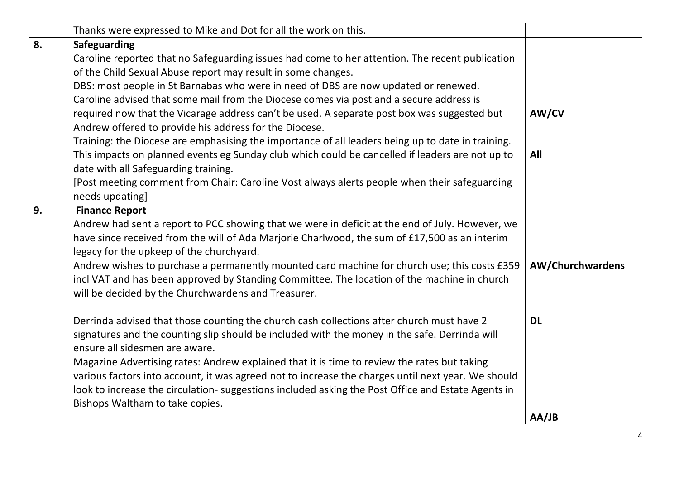|    | Thanks were expressed to Mike and Dot for all the work on this.                                                                                                                            |                         |
|----|--------------------------------------------------------------------------------------------------------------------------------------------------------------------------------------------|-------------------------|
| 8. | <b>Safeguarding</b>                                                                                                                                                                        |                         |
|    | Caroline reported that no Safeguarding issues had come to her attention. The recent publication                                                                                            |                         |
|    | of the Child Sexual Abuse report may result in some changes.                                                                                                                               |                         |
|    | DBS: most people in St Barnabas who were in need of DBS are now updated or renewed.                                                                                                        |                         |
|    | Caroline advised that some mail from the Diocese comes via post and a secure address is                                                                                                    |                         |
|    | required now that the Vicarage address can't be used. A separate post box was suggested but                                                                                                | AW/CV                   |
|    | Andrew offered to provide his address for the Diocese.                                                                                                                                     |                         |
|    | Training: the Diocese are emphasising the importance of all leaders being up to date in training.                                                                                          |                         |
|    | This impacts on planned events eg Sunday club which could be cancelled if leaders are not up to                                                                                            | All                     |
|    | date with all Safeguarding training.                                                                                                                                                       |                         |
|    | [Post meeting comment from Chair: Caroline Vost always alerts people when their safeguarding                                                                                               |                         |
|    | needs updating]                                                                                                                                                                            |                         |
| 9. | <b>Finance Report</b>                                                                                                                                                                      |                         |
|    | Andrew had sent a report to PCC showing that we were in deficit at the end of July. However, we                                                                                            |                         |
|    | have since received from the will of Ada Marjorie Charlwood, the sum of £17,500 as an interim                                                                                              |                         |
|    | legacy for the upkeep of the churchyard.                                                                                                                                                   |                         |
|    | Andrew wishes to purchase a permanently mounted card machine for church use; this costs £359                                                                                               | <b>AW/Churchwardens</b> |
|    | incl VAT and has been approved by Standing Committee. The location of the machine in church                                                                                                |                         |
|    | will be decided by the Churchwardens and Treasurer.                                                                                                                                        |                         |
|    |                                                                                                                                                                                            | <b>DL</b>               |
|    | Derrinda advised that those counting the church cash collections after church must have 2<br>signatures and the counting slip should be included with the money in the safe. Derrinda will |                         |
|    | ensure all sidesmen are aware.                                                                                                                                                             |                         |
|    | Magazine Advertising rates: Andrew explained that it is time to review the rates but taking                                                                                                |                         |
|    | various factors into account, it was agreed not to increase the charges until next year. We should                                                                                         |                         |
|    | look to increase the circulation- suggestions included asking the Post Office and Estate Agents in                                                                                         |                         |
|    | Bishops Waltham to take copies.                                                                                                                                                            |                         |
|    |                                                                                                                                                                                            | AA/JB                   |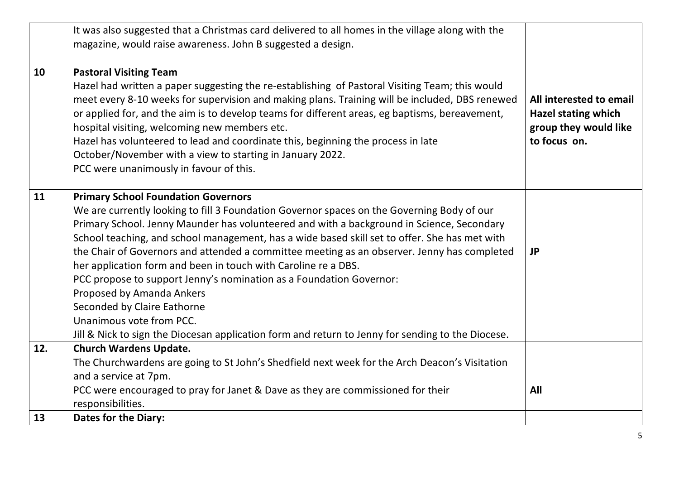|     | It was also suggested that a Christmas card delivered to all homes in the village along with the<br>magazine, would raise awareness. John B suggested a design.                                                                                                                                                                                                                                                                                                                                                                                                                                                                                                                                                                                                             |                                                                                                |
|-----|-----------------------------------------------------------------------------------------------------------------------------------------------------------------------------------------------------------------------------------------------------------------------------------------------------------------------------------------------------------------------------------------------------------------------------------------------------------------------------------------------------------------------------------------------------------------------------------------------------------------------------------------------------------------------------------------------------------------------------------------------------------------------------|------------------------------------------------------------------------------------------------|
| 10  | <b>Pastoral Visiting Team</b><br>Hazel had written a paper suggesting the re-establishing of Pastoral Visiting Team; this would<br>meet every 8-10 weeks for supervision and making plans. Training will be included, DBS renewed<br>or applied for, and the aim is to develop teams for different areas, eg baptisms, bereavement,<br>hospital visiting, welcoming new members etc.<br>Hazel has volunteered to lead and coordinate this, beginning the process in late<br>October/November with a view to starting in January 2022.<br>PCC were unanimously in favour of this.                                                                                                                                                                                            | All interested to email<br><b>Hazel stating which</b><br>group they would like<br>to focus on. |
| 11  | <b>Primary School Foundation Governors</b><br>We are currently looking to fill 3 Foundation Governor spaces on the Governing Body of our<br>Primary School. Jenny Maunder has volunteered and with a background in Science, Secondary<br>School teaching, and school management, has a wide based skill set to offer. She has met with<br>the Chair of Governors and attended a committee meeting as an observer. Jenny has completed<br>her application form and been in touch with Caroline re a DBS.<br>PCC propose to support Jenny's nomination as a Foundation Governor:<br>Proposed by Amanda Ankers<br>Seconded by Claire Eathorne<br>Unanimous vote from PCC.<br>Jill & Nick to sign the Diocesan application form and return to Jenny for sending to the Diocese. | <b>JP</b>                                                                                      |
| 12. | <b>Church Wardens Update.</b><br>The Churchwardens are going to St John's Shedfield next week for the Arch Deacon's Visitation<br>and a service at 7pm.<br>PCC were encouraged to pray for Janet & Dave as they are commissioned for their<br>responsibilities.                                                                                                                                                                                                                                                                                                                                                                                                                                                                                                             | All                                                                                            |
| 13  | <b>Dates for the Diary:</b>                                                                                                                                                                                                                                                                                                                                                                                                                                                                                                                                                                                                                                                                                                                                                 |                                                                                                |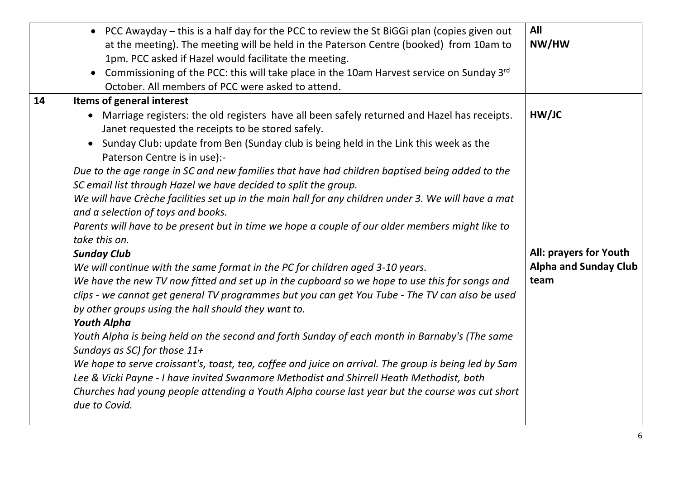|    | • PCC Awayday – this is a half day for the PCC to review the St BiGGi plan (copies given out<br>at the meeting). The meeting will be held in the Paterson Centre (booked) from 10am to<br>1pm. PCC asked if Hazel would facilitate the meeting.<br>• Commissioning of the PCC: this will take place in the 10am Harvest service on Sunday 3rd<br>October. All members of PCC were asked to attend.                                                                                                                                                                                                                                                                                                                                                                                                                                                                                                                                                                                                                                                                                                                                                                                                                                                                                                                                                                                                                                                                                                                                                                                                         | All<br>NW/HW                                                            |
|----|------------------------------------------------------------------------------------------------------------------------------------------------------------------------------------------------------------------------------------------------------------------------------------------------------------------------------------------------------------------------------------------------------------------------------------------------------------------------------------------------------------------------------------------------------------------------------------------------------------------------------------------------------------------------------------------------------------------------------------------------------------------------------------------------------------------------------------------------------------------------------------------------------------------------------------------------------------------------------------------------------------------------------------------------------------------------------------------------------------------------------------------------------------------------------------------------------------------------------------------------------------------------------------------------------------------------------------------------------------------------------------------------------------------------------------------------------------------------------------------------------------------------------------------------------------------------------------------------------------|-------------------------------------------------------------------------|
| 14 | Items of general interest<br>• Marriage registers: the old registers have all been safely returned and Hazel has receipts.<br>Janet requested the receipts to be stored safely.<br>Sunday Club: update from Ben (Sunday club is being held in the Link this week as the<br>$\bullet$<br>Paterson Centre is in use):-<br>Due to the age range in SC and new families that have had children baptised being added to the<br>SC email list through Hazel we have decided to split the group.<br>We will have Crèche facilities set up in the main hall for any children under 3. We will have a mat<br>and a selection of toys and books.<br>Parents will have to be present but in time we hope a couple of our older members might like to<br>take this on.<br><b>Sunday Club</b><br>We will continue with the same format in the PC for children aged 3-10 years.<br>We have the new TV now fitted and set up in the cupboard so we hope to use this for songs and<br>clips - we cannot get general TV programmes but you can get You Tube - The TV can also be used<br>by other groups using the hall should they want to.<br><b>Youth Alpha</b><br>Youth Alpha is being held on the second and forth Sunday of each month in Barnaby's (The same<br>Sundays as SC) for those 11+<br>We hope to serve croissant's, toast, tea, coffee and juice on arrival. The group is being led by Sam<br>Lee & Vicki Payne - I have invited Swanmore Methodist and Shirrell Heath Methodist, both<br>Churches had young people attending a Youth Alpha course last year but the course was cut short<br>due to Covid. | HW/JC<br>All: prayers for Youth<br><b>Alpha and Sunday Club</b><br>team |